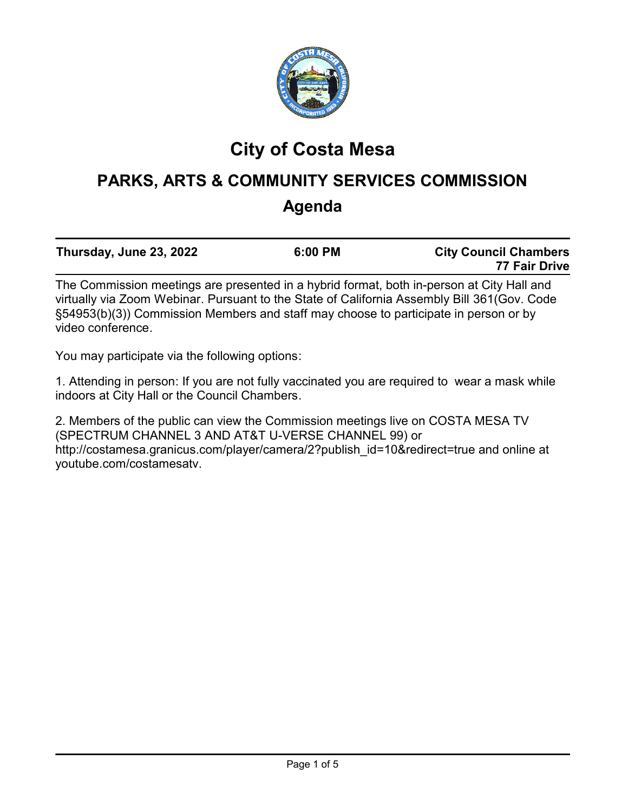

# **City of Costa Mesa**

# **PARKS, ARTS & COMMUNITY SERVICES COMMISSION Agenda**

| Thursday, June 23, 2022                                                                 | 6:00 PM | <b>City Council Chambers</b> |  |
|-----------------------------------------------------------------------------------------|---------|------------------------------|--|
|                                                                                         |         | 77 Fair Drive                |  |
| The Commission medium are nucleoted in a hubuld found to be in process of City Uall and |         |                              |  |

The Commission meetings are presented in a hybrid format, both in-person at City Hall and virtually via Zoom Webinar. Pursuant to the State of California Assembly Bill 361(Gov. Code §54953(b)(3)) Commission Members and staff may choose to participate in person or by video conference.

You may participate via the following options:

1. Attending in person: If you are not fully vaccinated you are required to wear a mask while indoors at City Hall or the Council Chambers.

2. Members of the public can view the Commission meetings live on COSTA MESA TV (SPECTRUM CHANNEL 3 AND AT&T U-VERSE CHANNEL 99) or http://costamesa.granicus.com/player/camera/2?publish\_id=10&redirect=true and online at youtube.com/costamesatv.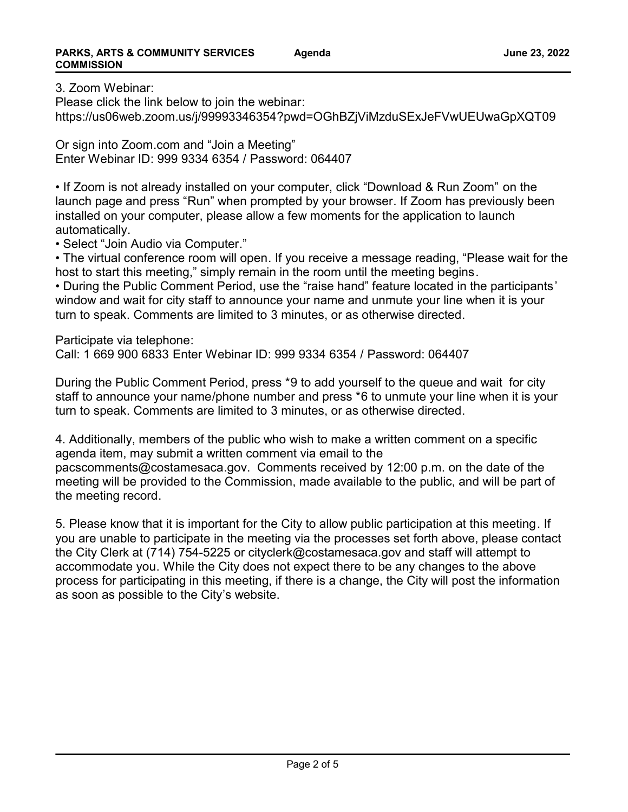3. Zoom Webinar:

Please click the link below to join the webinar: https://us06web.zoom.us/j/99993346354?pwd=OGhBZjViMzduSExJeFVwUEUwaGpXQT09

Or sign into Zoom.com and "Join a Meeting" Enter Webinar ID: 999 9334 6354 / Password: 064407

• If Zoom is not already installed on your computer, click "Download & Run Zoom" on the launch page and press "Run" when prompted by your browser. If Zoom has previously been installed on your computer, please allow a few moments for the application to launch automatically.

• Select "Join Audio via Computer."

• The virtual conference room will open. If you receive a message reading, "Please wait for the host to start this meeting," simply remain in the room until the meeting begins.

• During the Public Comment Period, use the "raise hand" feature located in the participants' window and wait for city staff to announce your name and unmute your line when it is your turn to speak. Comments are limited to 3 minutes, or as otherwise directed.

Participate via telephone:

Call: 1 669 900 6833 Enter Webinar ID: 999 9334 6354 / Password: 064407

During the Public Comment Period, press \*9 to add yourself to the queue and wait for city staff to announce your name/phone number and press \*6 to unmute your line when it is your turn to speak. Comments are limited to 3 minutes, or as otherwise directed.

4. Additionally, members of the public who wish to make a written comment on a specific agenda item, may submit a written comment via email to the

pacscomments@costamesaca.gov. Comments received by 12:00 p.m. on the date of the meeting will be provided to the Commission, made available to the public, and will be part of the meeting record.

5. Please know that it is important for the City to allow public participation at this meeting. If you are unable to participate in the meeting via the processes set forth above, please contact the City Clerk at (714) 754-5225 or cityclerk@costamesaca.gov and staff will attempt to accommodate you. While the City does not expect there to be any changes to the above process for participating in this meeting, if there is a change, the City will post the information as soon as possible to the City's website.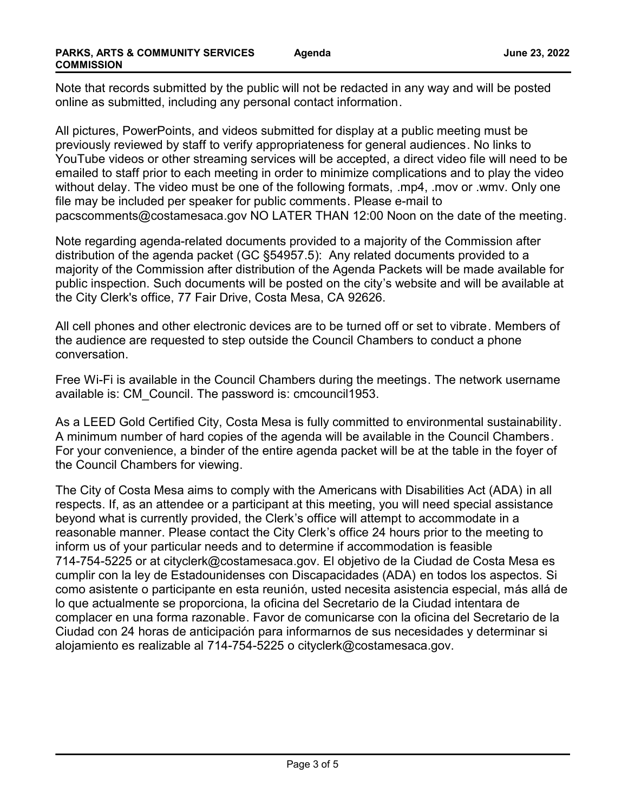Note that records submitted by the public will not be redacted in any way and will be posted online as submitted, including any personal contact information.

All pictures, PowerPoints, and videos submitted for display at a public meeting must be previously reviewed by staff to verify appropriateness for general audiences. No links to YouTube videos or other streaming services will be accepted, a direct video file will need to be emailed to staff prior to each meeting in order to minimize complications and to play the video without delay. The video must be one of the following formats, .mp4, .mov or .wmv. Only one file may be included per speaker for public comments. Please e-mail to pacscomments@costamesaca.gov NO LATER THAN 12:00 Noon on the date of the meeting.

Note regarding agenda-related documents provided to a majority of the Commission after distribution of the agenda packet (GC §54957.5): Any related documents provided to a majority of the Commission after distribution of the Agenda Packets will be made available for public inspection. Such documents will be posted on the city's website and will be available at the City Clerk's office, 77 Fair Drive, Costa Mesa, CA 92626.

All cell phones and other electronic devices are to be turned off or set to vibrate. Members of the audience are requested to step outside the Council Chambers to conduct a phone conversation.

Free Wi-Fi is available in the Council Chambers during the meetings. The network username available is: CM\_Council. The password is: cmcouncil1953.

As a LEED Gold Certified City, Costa Mesa is fully committed to environmental sustainability. A minimum number of hard copies of the agenda will be available in the Council Chambers. For your convenience, a binder of the entire agenda packet will be at the table in the foyer of the Council Chambers for viewing.

The City of Costa Mesa aims to comply with the Americans with Disabilities Act (ADA) in all respects. If, as an attendee or a participant at this meeting, you will need special assistance beyond what is currently provided, the Clerk's office will attempt to accommodate in a reasonable manner. Please contact the City Clerk's office 24 hours prior to the meeting to inform us of your particular needs and to determine if accommodation is feasible 714-754-5225 or at cityclerk@costamesaca.gov. El objetivo de la Ciudad de Costa Mesa es cumplir con la ley de Estadounidenses con Discapacidades (ADA) en todos los aspectos. Si como asistente o participante en esta reunión, usted necesita asistencia especial, más allá de lo que actualmente se proporciona, la oficina del Secretario de la Ciudad intentara de complacer en una forma razonable. Favor de comunicarse con la oficina del Secretario de la Ciudad con 24 horas de anticipación para informarnos de sus necesidades y determinar si alojamiento es realizable al 714-754-5225 o cityclerk@costamesaca.gov.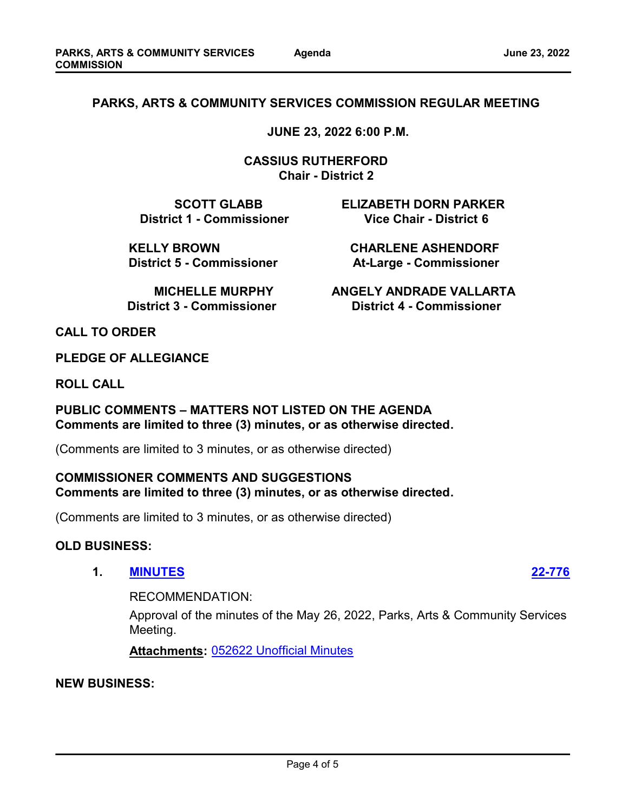### **PARKS, ARTS & COMMUNITY SERVICES COMMISSION REGULAR MEETING**

 **JUNE 23, 2022 6:00 P.M.** 

 **CASSIUS RUTHERFORD Chair - District 2**

 **SCOTT GLABB ELIZABETH DORN PARKER District 1 - Commissioner Vice Chair - District 6** 

 **KELLY BROWN CHARLENE ASHENDORF**

**District 5 - Commissioner Mat-Large - Commissioner** 

**MICHELLE MURPHY ANGELY ANDRADE VALLARTA District 3 - Commissioner Commissioner District 4 - Commissioner** 

**CALL TO ORDER**

**PLEDGE OF ALLEGIANCE**

**ROLL CALL**

### **PUBLIC COMMENTS – MATTERS NOT LISTED ON THE AGENDA Comments are limited to three (3) minutes, or as otherwise directed.**

(Comments are limited to 3 minutes, or as otherwise directed)

#### **COMMISSIONER COMMENTS AND SUGGESTIONS Comments are limited to three (3) minutes, or as otherwise directed.**

(Comments are limited to 3 minutes, or as otherwise directed)

#### **OLD BUSINESS:**

**1. [MINUTES](http://costamesa.legistar.com/gateway.aspx?m=l&id=/matter.aspx?key=1880) [22-776](http://costamesa.legistar.com/gateway.aspx?m=l&id=/matter.aspx?key=1880)**

RECOMMENDATION:

Approval of the minutes of the May 26, 2022, Parks, Arts & Community Services Meeting.

**Attachments:** [052622 Unofficial Minutes](http://costamesa.legistar.com/gateway.aspx?M=F&ID=9e5bdf3a-cc7e-407a-9cce-1cc124021313.pdf)

#### **NEW BUSINESS:**